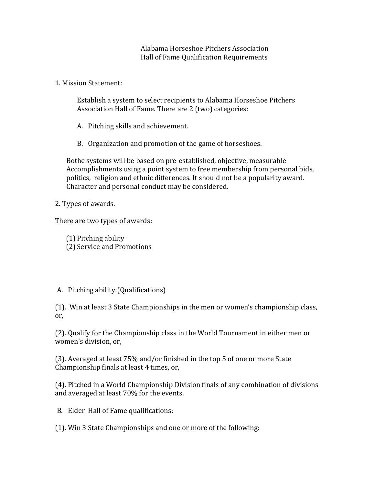Alabama Horseshoe Pitchers Association Hall of Fame Qualification Requirements

1. Mission Statement:

Establish a system to select recipients to Alabama Horseshoe Pitchers Association Hall of Fame. There are 2 (two) categories:

A. Pitching skills and achievement.

B. Organization and promotion of the game of horseshoes.

 Bothe systems will be based on pre-established, objective, measurable Accomplishments using a point system to free membership from personal bids, politics, religion and ethnic differences. It should not be a popularity award. Character and personal conduct may be considered.

2. Types of awards.

There are two types of awards:

(1) Pitching ability (2) Service and Promotions

## A. Pitching ability:(Qualifications)

(1). Win at least 3 State Championships in the men or women's championship class, or,

(2). Qualify for the Championship class in the World Tournament in either men or women's division, or,

(3). Averaged at least 75% and/or finished in the top 5 of one or more State Championship finals at least 4 times, or,

(4). Pitched in a World Championship Division finals of any combination of divisions and averaged at least 70% for the events.

B. Elder Hall of Fame qualifications:

(1). Win 3 State Championships and one or more of the following: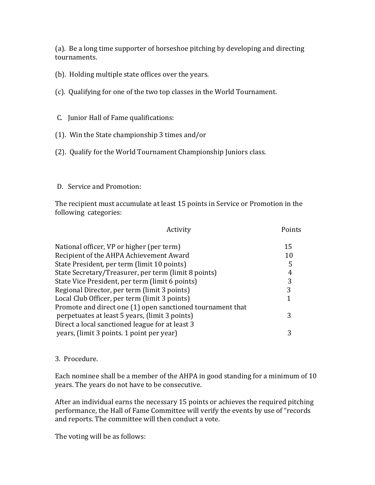(a). Be a long time supporter of horseshoe pitching by developing and directing tournaments.

(b). Holding multiple state offices over the years.

(c). Qualifying for one of the two top classes in the World Tournament.

C. Junior Hall of Fame qualifications:

- (1). Win the State championship 3 times and/or
- (2). Qualify for the World Tournament Championship Juniors class.

## D. Service and Promotion:

The recipient must accumulate at least 15 points in Service or Promotion in the following categories:

| Activity                                                   | Points |
|------------------------------------------------------------|--------|
| National officer, VP or higher (per term)                  | 15     |
| Recipient of the AHPA Achievement Award                    | 10     |
| State President, per term (limit 10 points)                | 5      |
| State Secretary/Treasurer, per term (limit 8 points)       |        |
| State Vice President, per term (limit 6 points)            | 3      |
| Regional Director, per term (limit 3 points)               | 3      |
| Local Club Officer, per term (limit 3 points)              |        |
| Promote and direct one (1) open sanctioned tournament that |        |
| perpetuates at least 5 years, (limit 3 points)             | 3      |
| Direct a local sanctioned league for at least 3            |        |
| years, (limit 3 points. 1 point per year)                  |        |

## 3. Procedure.

Each nominee shall be a member of the AHPA in good standing for a minimum of 10 years. The years do not have to be consecutive.

After an individual earns the necessary 15 points or achieves the required pitching performance, the Hall of Fame Committee will verify the events by use of "records and reports. The committee will then conduct a vote.

The voting will be as follows: